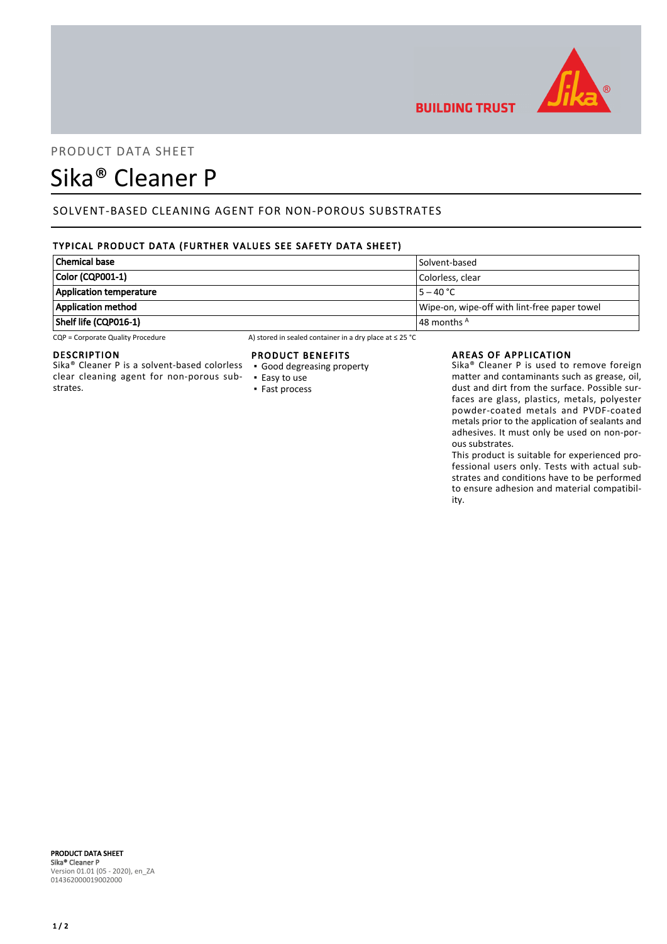

# PRODUCT DATA SHEET

# Sika® Cleaner P

# SOLVENT-BASED CLEANING AGENT FOR NON-POROUS SUBSTRATES

# TYPICAL PRODUCT DATA (FURTHER VALUES SEE SAFETY DATA SHEET)

| <b>Chemical base</b>           | Solvent-based                                |
|--------------------------------|----------------------------------------------|
| Color (CQP001-1)               | Colorless, clear                             |
| <b>Application temperature</b> | $5 - 40 °C$                                  |
| <b>Application method</b>      | Wipe-on, wipe-off with lint-free paper towel |
| Shelf life (CQP016-1)          | $\vert$ 48 months $^{\mathsf{A}}$            |

CQP = Corporate Quality Procedure A) stored in sealed container in a dry place at ≤ 25 °C

#### DESCRIPTION

Sika® Cleaner P is a solvent-based colorless clear cleaning agent for non-porous substrates.

### PRODUCT BENEFITS

- Good degreasing property
- Easy to use ▪ Fast process

### AREAS OF APPLICATION

**BUILDING TRUST** 

Sika® Cleaner P is used to remove foreign matter and contaminants such as grease, oil, dust and dirt from the surface. Possible surfaces are glass, plastics, metals, polyester powder-coated metals and PVDF-coated metals prior to the application of sealants and adhesives. It must only be used on non-porous substrates.

This product is suitable for experienced professional users only. Tests with actual substrates and conditions have to be performed to ensure adhesion and material compatibility.

#### PRODUCT DATA SHEET Sika® Cleaner P Version 01.01 (05 - 2020), en\_ZA 014362000019002000